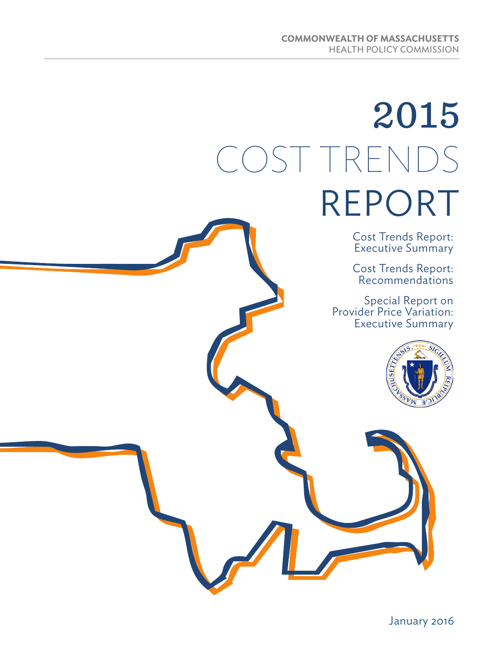# 2015 COST TRENDS REPORT

Cost Trends Report: Executive Summary

Cost Trends Report: Recommendations

Special Report on Provider Price Variation: Executive Summary

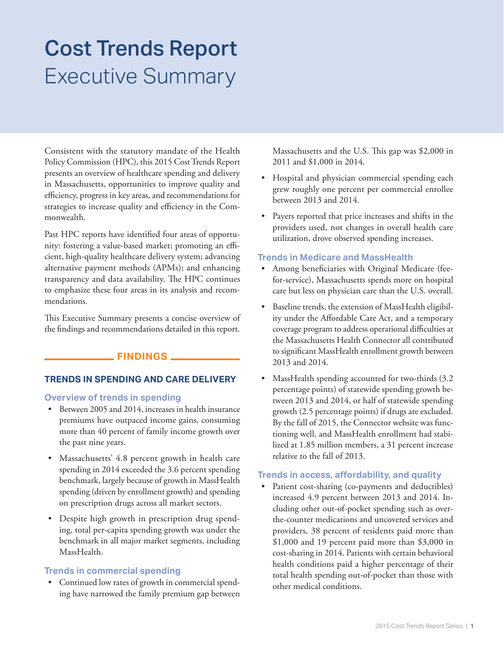### Executive Summary Cost Trends Report

Consistent with the statutory mandate of the Health Policy Commission (HPC), this 2015 Cost Trends Report presents an overview of healthcare spending and delivery in Massachusetts, opportunities to improve quality and efficiency, progress in key areas, and recommendations for strategies to increase quality and efficiency in the Commonwealth.

Past HPC reports have identified four areas of opportunity: fostering a value-based market; promoting an efficient, high-quality healthcare delivery system; advancing alternative payment methods (APMs); and enhancing transparency and data availability. The HPC continues to emphasize these four areas in its analysis and recommendations.

This Executive Summary presents a concise overview of the findings and recommendations detailed in this report.

#### **FINDINGS**

#### **TRENDS IN SPENDING AND CARE DELIVERY**

#### **Overview of trends in spending**

- Between 2005 and 2014, increases in health insurance premiums have outpaced income gains, consuming more than 40 percent of family income growth over the past nine years.
- Massachusetts' 4.8 percent growth in health care spending in 2014 exceeded the 3.6 percent spending benchmark, largely because of growth in MassHealth spending (driven by enrollment growth) and spending on prescription drugs across all market sectors.
- Despite high growth in prescription drug spending, total per-capita spending growth was under the benchmark in all major market segments, including MassHealth.

#### **Trends in commercial spending**

• Continued low rates of growth in commercial spending have narrowed the family premium gap between Massachusetts and the U.S. This gap was \$2,000 in 2011 and \$1,000 in 2014.

- Hospital and physician commercial spending each grew roughly one percent per commercial enrollee between 2013 and 2014.
- Payers reported that price increases and shifts in the providers used, not changes in overall health care utilization, drove observed spending increases.

#### **Trends in Medicare and MassHealth**

- Among beneficiaries with Original Medicare (feefor-service), Massachusetts spends more on hospital care but less on physician care than the U.S. overall.
- Baseline trends, the extension of MassHealth eligibility under the Affordable Care Act, and a temporary coverage program to address operational difficulties at the Massachusetts Health Connector all contributed to significant MassHealth enrollment growth between 2013 and 2014.
- MassHealth spending accounted for two-thirds (3.2 percentage points) of statewide spending growth between 2013 and 2014, or half of statewide spending growth (2.5 percentage points) if drugs are excluded. By the fall of 2015, the Connector website was functioning well, and MassHealth enrollment had stabilized at 1.85 million members, a 31 percent increase relative to the fall of 2013.

#### **Trends in access, affordability, and quality**

Patient cost-sharing (co-payments and deductibles) increased 4.9 percent between 2013 and 2014. Including other out-of-pocket spending such as overthe-counter medications and uncovered services and providers, 38 percent of residents paid more than \$1,000 and 19 percent paid more than \$3,000 in cost-sharing in 2014. Patients with certain behavioral health conditions paid a higher percentage of their total health spending out-of-pocket than those with other medical conditions.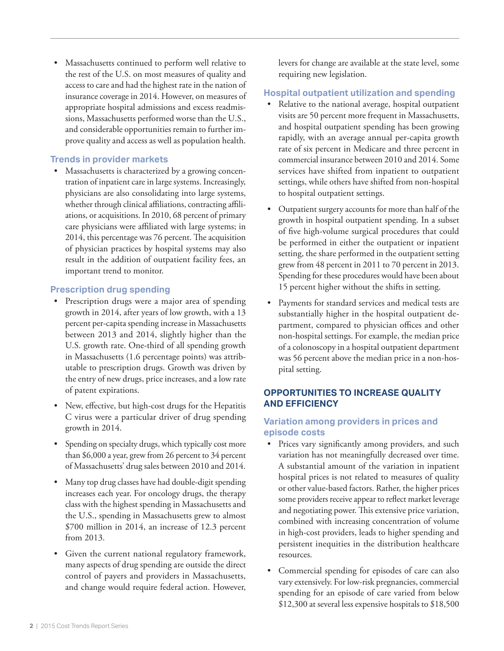• Massachusetts continued to perform well relative to the rest of the U.S. on most measures of quality and access to care and had the highest rate in the nation of insurance coverage in 2014. However, on measures of appropriate hospital admissions and excess readmissions, Massachusetts performed worse than the U.S., and considerable opportunities remain to further improve quality and access as well as population health.

#### **Trends in provider markets**

Massachusetts is characterized by a growing concentration of inpatient care in large systems. Increasingly, physicians are also consolidating into large systems, whether through clinical affiliations, contracting affiliations, or acquisitions. In 2010, 68 percent of primary care physicians were affiliated with large systems; in 2014, this percentage was 76 percent. The acquisition of physician practices by hospital systems may also result in the addition of outpatient facility fees, an important trend to monitor.

#### **Prescription drug spending**

- Prescription drugs were a major area of spending growth in 2014, after years of low growth, with a 13 percent per-capita spending increase in Massachusetts between 2013 and 2014, slightly higher than the U.S. growth rate. One-third of all spending growth in Massachusetts (1.6 percentage points) was attributable to prescription drugs. Growth was driven by the entry of new drugs, price increases, and a low rate of patent expirations.
- New, effective, but high-cost drugs for the Hepatitis C virus were a particular driver of drug spending growth in 2014.
- Spending on specialty drugs, which typically cost more than \$6,000 a year, grew from 26 percent to 34 percent of Massachusetts' drug sales between 2010 and 2014.
- Many top drug classes have had double-digit spending increases each year. For oncology drugs, the therapy class with the highest spending in Massachusetts and the U.S., spending in Massachusetts grew to almost \$700 million in 2014, an increase of 12.3 percent from 2013.
- Given the current national regulatory framework, many aspects of drug spending are outside the direct control of payers and providers in Massachusetts, and change would require federal action. However,

levers for change are available at the state level, some requiring new legislation.

#### **Hospital outpatient utilization and spending**

- Relative to the national average, hospital outpatient visits are 50 percent more frequent in Massachusetts, and hospital outpatient spending has been growing rapidly, with an average annual per-capita growth rate of six percent in Medicare and three percent in commercial insurance between 2010 and 2014. Some services have shifted from inpatient to outpatient settings, while others have shifted from non-hospital to hospital outpatient settings.
- Outpatient surgery accounts for more than half of the growth in hospital outpatient spending. In a subset of five high-volume surgical procedures that could be performed in either the outpatient or inpatient setting, the share performed in the outpatient setting grew from 48 percent in 2011 to 70 percent in 2013. Spending for these procedures would have been about 15 percent higher without the shifts in setting.
- Payments for standard services and medical tests are substantially higher in the hospital outpatient department, compared to physician offices and other non-hospital settings. For example, the median price of a colonoscopy in a hospital outpatient department was 56 percent above the median price in a non-hospital setting.

#### **OPPORTUNITIES TO INCREASE QUALITY AND EFFICIENCY**

#### **Variation among providers in prices and episode costs**

- Prices vary significantly among providers, and such variation has not meaningfully decreased over time. A substantial amount of the variation in inpatient hospital prices is not related to measures of quality or other value-based factors. Rather, the higher prices some providers receive appear to reflect market leverage and negotiating power. This extensive price variation, combined with increasing concentration of volume in high-cost providers, leads to higher spending and persistent inequities in the distribution healthcare resources.
- Commercial spending for episodes of care can also vary extensively. For low-risk pregnancies, commercial spending for an episode of care varied from below \$12,300 at several less expensive hospitals to \$18,500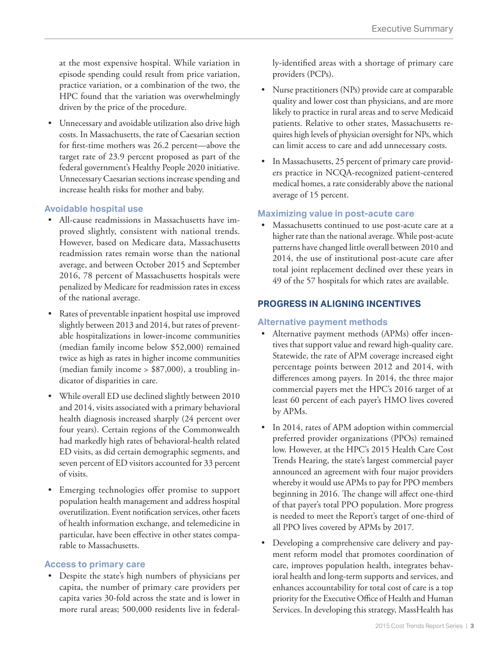at the most expensive hospital. While variation in episode spending could result from price variation, practice variation, or a combination of the two, the HPC found that the variation was overwhelmingly driven by the price of the procedure.

• Unnecessary and avoidable utilization also drive high costs. In Massachusetts, the rate of Caesarian section for first-time mothers was 26.2 percent—above the target rate of 23.9 percent proposed as part of the federal government's Healthy People 2020 initiative. Unnecessary Caesarian sections increase spending and increase health risks for mother and baby.

#### **Avoidable hospital use**

- All-cause readmissions in Massachusetts have improved slightly, consistent with national trends. However, based on Medicare data, Massachusetts readmission rates remain worse than the national average, and between October 2015 and September 2016, 78 percent of Massachusetts hospitals were penalized by Medicare for readmission rates in excess of the national average.
- Rates of preventable inpatient hospital use improved slightly between 2013 and 2014, but rates of preventable hospitalizations in lower-income communities (median family income below \$52,000) remained twice as high as rates in higher income communities (median family income > \$87,000), a troubling indicator of disparities in care.
- While overall ED use declined slightly between 2010 and 2014, visits associated with a primary behavioral health diagnosis increased sharply (24 percent over four years). Certain regions of the Commonwealth had markedly high rates of behavioral-health related ED visits, as did certain demographic segments, and seven percent of ED visitors accounted for 33 percent of visits.
- Emerging technologies offer promise to support population health management and address hospital overutilization. Event notification services, other facets of health information exchange, and telemedicine in particular, have been effective in other states comparable to Massachusetts.

#### **Access to primary care**

• Despite the state's high numbers of physicians per capita, the number of primary care providers per capita varies 30-fold across the state and is lower in more rural areas; 500,000 residents live in federally-identified areas with a shortage of primary care providers (PCPs).

- Nurse practitioners (NPs) provide care at comparable quality and lower cost than physicians, and are more likely to practice in rural areas and to serve Medicaid patients. Relative to other states, Massachusetts requires high levels of physician oversight for NPs, which can limit access to care and add unnecessary costs.
- In Massachusetts, 25 percent of primary care providers practice in NCQA-recognized patient-centered medical homes, a rate considerably above the national average of 15 percent.

#### **Maximizing value in post-acute care**

Massachusetts continued to use post-acute care at a higher rate than the national average. While post-acute patterns have changed little overall between 2010 and 2014, the use of institutional post-acute care after total joint replacement declined over these years in 49 of the 57 hospitals for which rates are available.

#### **PROGRESS IN ALIGNING INCENTIVES**

#### **Alternative payment methods**

- Alternative payment methods (APMs) offer incentives that support value and reward high-quality care. Statewide, the rate of APM coverage increased eight percentage points between 2012 and 2014, with differences among payers. In 2014, the three major commercial payers met the HPC's 2016 target of at least 60 percent of each payer's HMO lives covered by APMs.
- In 2014, rates of APM adoption within commercial preferred provider organizations (PPOs) remained low. However, at the HPC's 2015 Health Care Cost Trends Hearing, the state's largest commercial payer announced an agreement with four major providers whereby it would use APMs to pay for PPO members beginning in 2016. The change will affect one-third of that payer's total PPO population. More progress is needed to meet the Report's target of one-third of all PPO lives covered by APMs by 2017.
- Developing a comprehensive care delivery and payment reform model that promotes coordination of care, improves population health, integrates behavioral health and long-term supports and services, and enhances accountability for total cost of care is a top priority for the Executive Office of Health and Human Services. In developing this strategy, MassHealth has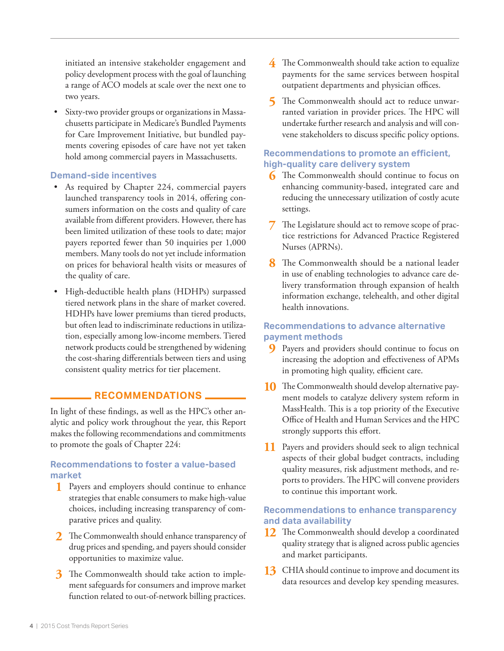initiated an intensive stakeholder engagement and policy development process with the goal of launching a range of ACO models at scale over the next one to two years.

• Sixty-two provider groups or organizations in Massachusetts participate in Medicare's Bundled Payments for Care Improvement Initiative, but bundled payments covering episodes of care have not yet taken hold among commercial payers in Massachusetts.

#### **Demand-side incentives**

- As required by Chapter 224, commercial payers launched transparency tools in 2014, offering consumers information on the costs and quality of care available from different providers. However, there has been limited utilization of these tools to date; major payers reported fewer than 50 inquiries per 1,000 members. Many tools do not yet include information on prices for behavioral health visits or measures of the quality of care.
- High-deductible health plans (HDHPs) surpassed tiered network plans in the share of market covered. HDHPs have lower premiums than tiered products, but often lead to indiscriminate reductions in utilization, especially among low-income members. Tiered network products could be strengthened by widening the cost-sharing differentials between tiers and using consistent quality metrics for tier placement.

#### **RECOMMENDATIONS**

In light of these findings, as well as the HPC's other analytic and policy work throughout the year, this Report makes the following recommendations and commitments to promote the goals of Chapter 224:

#### **Recommendations to foster a value-based market**

- **1** Payers and employers should continue to enhance strategies that enable consumers to make high-value choices, including increasing transparency of comparative prices and quality.
- **2** The Commonwealth should enhance transparency of drug prices and spending, and payers should consider opportunities to maximize value.
- **3** The Commonwealth should take action to implement safeguards for consumers and improve market function related to out-of-network billing practices.
- **4** The Commonwealth should take action to equalize payments for the same services between hospital outpatient departments and physician offices.
- **5** The Commonwealth should act to reduce unwarranted variation in provider prices. The HPC will undertake further research and analysis and will convene stakeholders to discuss specific policy options.

#### **Recommendations to promote an efficient, high-quality care delivery system**

- **6** The Commonwealth should continue to focus on enhancing community-based, integrated care and reducing the unnecessary utilization of costly acute settings.
- **7** The Legislature should act to remove scope of practice restrictions for Advanced Practice Registered Nurses (APRNs).
- **8** The Commonwealth should be a national leader in use of enabling technologies to advance care delivery transformation through expansion of health information exchange, telehealth, and other digital health innovations.

#### **Recommendations to advance alternative payment methods**

- **9** Payers and providers should continue to focus on increasing the adoption and effectiveness of APMs in promoting high quality, efficient care.
- **10** The Commonwealth should develop alternative payment models to catalyze delivery system reform in MassHealth. This is a top priority of the Executive Office of Health and Human Services and the HPC strongly supports this effort.
- **11** Payers and providers should seek to align technical aspects of their global budget contracts, including quality measures, risk adjustment methods, and reports to providers. The HPC will convene providers to continue this important work.

#### **Recommendations to enhance transparency and data availability**

- **12** The Commonwealth should develop a coordinated quality strategy that is aligned across public agencies and market participants.
- **13** CHIA should continue to improve and document its data resources and develop key spending measures.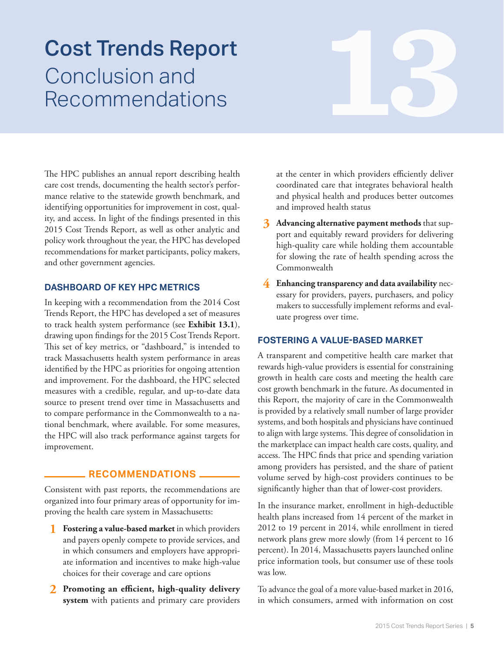# Conclusion and Recommendations **138 Cost Trends Report**<br>Conclusion and<br>Recommendations

The HPC publishes an annual report describing health care cost trends, documenting the health sector's performance relative to the statewide growth benchmark, and identifying opportunities for improvement in cost, quality, and access. In light of the findings presented in this 2015 Cost Trends Report, as well as other analytic and policy work throughout the year, the HPC has developed recommendations for market participants, policy makers, and other government agencies.

#### **DASHBOARD OF KEY HPC METRICS**

In keeping with a recommendation from the 2014 Cost Trends Report, the HPC has developed a set of measures to track health system performance (see **Exhibit 13.1**), drawing upon findings for the 2015 Cost Trends Report. This set of key metrics, or "dashboard," is intended to track Massachusetts health system performance in areas identified by the HPC as priorities for ongoing attention and improvement. For the dashboard, the HPC selected measures with a credible, regular, and up-to-date data source to present trend over time in Massachusetts and to compare performance in the Commonwealth to a national benchmark, where available. For some measures, the HPC will also track performance against targets for improvement.

#### **RECOMMENDATIONS**

Consistent with past reports, the recommendations are organized into four primary areas of opportunity for improving the health care system in Massachusetts:

- **1 Fostering a value-based market** in which providers and payers openly compete to provide services, and in which consumers and employers have appropriate information and incentives to make high-value choices for their coverage and care options
- **2 Promoting an efficient, high-quality delivery system** with patients and primary care providers

at the center in which providers efficiently deliver coordinated care that integrates behavioral health and physical health and produces better outcomes and improved health status

- **3 Advancing alternative payment methods** that support and equitably reward providers for delivering high-quality care while holding them accountable for slowing the rate of health spending across the Commonwealth
- **4 Enhancing transparency and data availability** necessary for providers, payers, purchasers, and policy makers to successfully implement reforms and evaluate progress over time.

#### **FOSTERING A VALUE-BASED MARKET**

A transparent and competitive health care market that rewards high-value providers is essential for constraining growth in health care costs and meeting the health care cost growth benchmark in the future. As documented in this Report, the majority of care in the Commonwealth is provided by a relatively small number of large provider systems, and both hospitals and physicians have continued to align with large systems. This degree of consolidation in the marketplace can impact health care costs, quality, and access. The HPC finds that price and spending variation among providers has persisted, and the share of patient volume served by high-cost providers continues to be significantly higher than that of lower-cost providers.

In the insurance market, enrollment in high-deductible health plans increased from 14 percent of the market in 2012 to 19 percent in 2014, while enrollment in tiered network plans grew more slowly (from 14 percent to 16 percent). In 2014, Massachusetts payers launched online price information tools, but consumer use of these tools was low.

To advance the goal of a more value-based market in 2016, in which consumers, armed with information on cost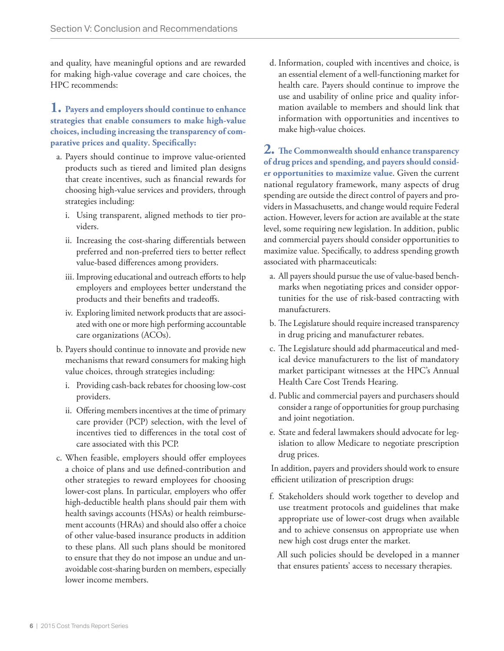and quality, have meaningful options and are rewarded for making high-value coverage and care choices, the HPC recommends:

#### **1. Payers and employers should continue to enhance strategies that enable consumers to make high-value choices, including increasing the transparency of comparative prices and quality**. **Specifically:**

- a. Payers should continue to improve value-oriented products such as tiered and limited plan designs that create incentives, such as financial rewards for choosing high-value services and providers, through strategies including:
	- i. Using transparent, aligned methods to tier providers.
	- ii. Increasing the cost-sharing differentials between preferred and non-preferred tiers to better reflect value-based differences among providers.
	- iii. Improving educational and outreach efforts to help employers and employees better understand the products and their benefits and tradeoffs.
	- iv. Exploring limited network products that are associated with one or more high performing accountable care organizations (ACOs).
- b. Payers should continue to innovate and provide new mechanisms that reward consumers for making high value choices, through strategies including:
	- i. Providing cash-back rebates for choosing low-cost providers.
	- ii. Offering members incentives at the time of primary care provider (PCP) selection, with the level of incentives tied to differences in the total cost of care associated with this PCP.
- c. When feasible, employers should offer employees a choice of plans and use defined-contribution and other strategies to reward employees for choosing lower-cost plans. In particular, employers who offer high-deductible health plans should pair them with health savings accounts (HSAs) or health reimbursement accounts (HRAs) and should also offer a choice of other value-based insurance products in addition to these plans. All such plans should be monitored to ensure that they do not impose an undue and unavoidable cost-sharing burden on members, especially lower income members.

d. Information, coupled with incentives and choice, is an essential element of a well-functioning market for health care. Payers should continue to improve the use and usability of online price and quality information available to members and should link that information with opportunities and incentives to make high-value choices.

**2. The Commonwealth should enhance transparency of drug prices and spending, and payers should consider opportunities to maximize value**. Given the current national regulatory framework, many aspects of drug spending are outside the direct control of payers and providers in Massachusetts, and change would require Federal action. However, levers for action are available at the state level, some requiring new legislation. In addition, public and commercial payers should consider opportunities to maximize value. Specifically, to address spending growth associated with pharmaceuticals:

- a. All payers should pursue the use of value-based benchmarks when negotiating prices and consider opportunities for the use of risk-based contracting with manufacturers.
- b. The Legislature should require increased transparency in drug pricing and manufacturer rebates.
- c. The Legislature should add pharmaceutical and medical device manufacturers to the list of mandatory market participant witnesses at the HPC's Annual Health Care Cost Trends Hearing.
- d. Public and commercial payers and purchasers should consider a range of opportunities for group purchasing and joint negotiation.
- e. State and federal lawmakers should advocate for legislation to allow Medicare to negotiate prescription drug prices.

In addition, payers and providers should work to ensure efficient utilization of prescription drugs:

f. Stakeholders should work together to develop and use treatment protocols and guidelines that make appropriate use of lower-cost drugs when available and to achieve consensus on appropriate use when new high cost drugs enter the market.

All such policies should be developed in a manner that ensures patients' access to necessary therapies.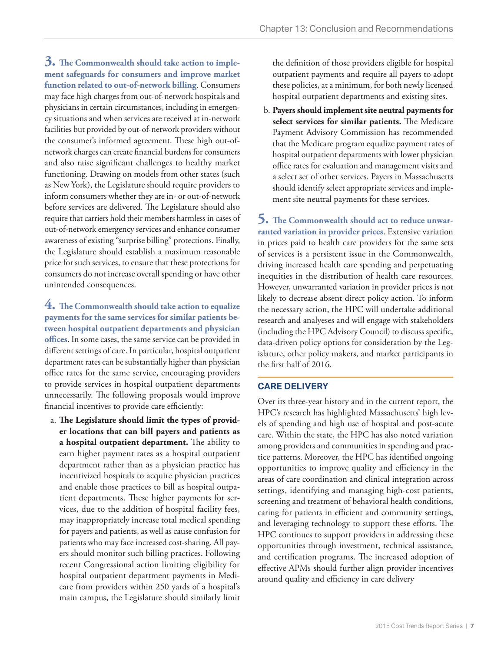**3. The Commonwealth should take action to implement safeguards for consumers and improve market function related to out-of-network billing**. Consumers may face high charges from out-of-network hospitals and physicians in certain circumstances, including in emergency situations and when services are received at in-network facilities but provided by out-of-network providers without the consumer's informed agreement. These high out-ofnetwork charges can create financial burdens for consumers and also raise significant challenges to healthy market functioning. Drawing on models from other states (such as New York), the Legislature should require providers to inform consumers whether they are in- or out-of-network before services are delivered. The Legislature should also require that carriers hold their members harmless in cases of out-of-network emergency services and enhance consumer awareness of existing "surprise billing" protections. Finally, the Legislature should establish a maximum reasonable price for such services, to ensure that these protections for consumers do not increase overall spending or have other unintended consequences.

**4. The Commonwealth should take action to equalize payments for the same services for similar patients between hospital outpatient departments and physician offices**. In some cases, the same service can be provided in different settings of care. In particular, hospital outpatient department rates can be substantially higher than physician office rates for the same service, encouraging providers to provide services in hospital outpatient departments unnecessarily. The following proposals would improve financial incentives to provide care efficiently:

a. **The Legislature should limit the types of provider locations that can bill payers and patients as a hospital outpatient department.** The ability to earn higher payment rates as a hospital outpatient department rather than as a physician practice has incentivized hospitals to acquire physician practices and enable those practices to bill as hospital outpatient departments. These higher payments for services, due to the addition of hospital facility fees, may inappropriately increase total medical spending for payers and patients, as well as cause confusion for patients who may face increased cost-sharing. All payers should monitor such billing practices. Following recent Congressional action limiting eligibility for hospital outpatient department payments in Medicare from providers within 250 yards of a hospital's main campus, the Legislature should similarly limit

the definition of those providers eligible for hospital outpatient payments and require all payers to adopt these policies, at a minimum, for both newly licensed hospital outpatient departments and existing sites.

b. **Payers should implement site neutral payments for select services for similar patients.** The Medicare Payment Advisory Commission has recommended that the Medicare program equalize payment rates of hospital outpatient departments with lower physician office rates for evaluation and management visits and a select set of other services. Payers in Massachusetts should identify select appropriate services and implement site neutral payments for these services.

**5. The Commonwealth should act to reduce unwarranted variation in provider prices**. Extensive variation in prices paid to health care providers for the same sets of services is a persistent issue in the Commonwealth, driving increased health care spending and perpetuating inequities in the distribution of health care resources. However, unwarranted variation in provider prices is not likely to decrease absent direct policy action. To inform the necessary action, the HPC will undertake additional research and analyeses and will engage with stakeholders (including the HPC Advisory Council) to discuss specific, data-driven policy options for consideration by the Legislature, other policy makers, and market participants in the first half of 2016.

#### **CARE DELIVERY**

Over its three-year history and in the current report, the HPC's research has highlighted Massachusetts' high levels of spending and high use of hospital and post-acute care. Within the state, the HPC has also noted variation among providers and communities in spending and practice patterns. Moreover, the HPC has identified ongoing opportunities to improve quality and efficiency in the areas of care coordination and clinical integration across settings, identifying and managing high-cost patients, screening and treatment of behavioral health conditions, caring for patients in efficient and community settings, and leveraging technology to support these efforts. The HPC continues to support providers in addressing these opportunities through investment, technical assistance, and certification programs. The increased adoption of effective APMs should further align provider incentives around quality and efficiency in care delivery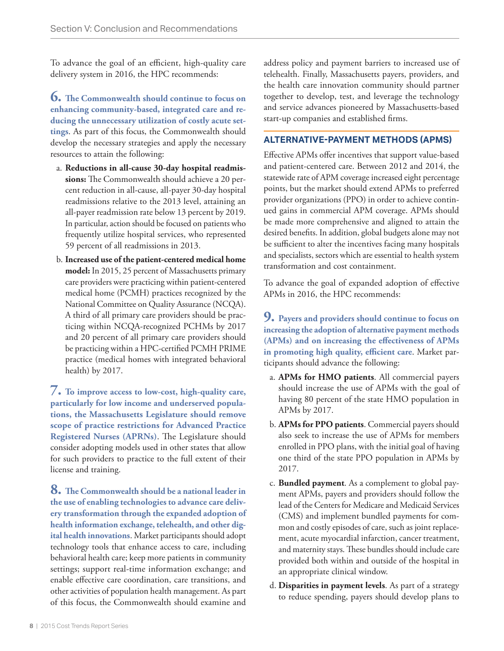To advance the goal of an efficient, high-quality care delivery system in 2016, the HPC recommends:

**6. The Commonwealth should continue to focus on enhancing community-based, integrated care and reducing the unnecessary utilization of costly acute settings**. As part of this focus, the Commonwealth should develop the necessary strategies and apply the necessary resources to attain the following:

- a. **Reductions in all-cause 30-day hospital readmissions:** The Commonwealth should achieve a 20 percent reduction in all-cause, all-payer 30-day hospital readmissions relative to the 2013 level, attaining an all-payer readmission rate below 13 percent by 2019. In particular, action should be focused on patients who frequently utilize hospital services, who represented 59 percent of all readmissions in 2013.
- b. **Increased use of the patient-centered medical home model:** In 2015, 25 percent of Massachusetts primary care providers were practicing within patient-centered medical home (PCMH) practices recognized by the National Committee on Quality Assurance (NCQA). A third of all primary care providers should be practicing within NCQA-recognized PCHMs by 2017 and 20 percent of all primary care providers should be practicing within a HPC-certified PCMH PRIME practice (medical homes with integrated behavioral health) by 2017.

**7. To improve access to low-cost, high-quality care, particularly for low income and underserved populations, the Massachusetts Legislature should remove scope of practice restrictions for Advanced Practice Registered Nurses (APRNs)**. The Legislature should consider adopting models used in other states that allow for such providers to practice to the full extent of their license and training.

**8. The Commonwealth should be a national leader in the use of enabling technologies to advance care delivery transformation through the expanded adoption of health information exchange, telehealth, and other digital health innovations**. Market participants should adopt technology tools that enhance access to care, including behavioral health care; keep more patients in community settings; support real-time information exchange; and enable effective care coordination, care transitions, and other activities of population health management. As part of this focus, the Commonwealth should examine and address policy and payment barriers to increased use of telehealth. Finally, Massachusetts payers, providers, and the health care innovation community should partner together to develop, test, and leverage the technology and service advances pioneered by Massachusetts-based start-up companies and established firms.

#### **ALTERNATIVE-PAYMENT METHODS (APMS)**

Effective APMs offer incentives that support value-based and patient-centered care. Between 2012 and 2014, the statewide rate of APM coverage increased eight percentage points, but the market should extend APMs to preferred provider organizations (PPO) in order to achieve continued gains in commercial APM coverage. APMs should be made more comprehensive and aligned to attain the desired benefits. In addition, global budgets alone may not be sufficient to alter the incentives facing many hospitals and specialists, sectors which are essential to health system transformation and cost containment.

To advance the goal of expanded adoption of effective APMs in 2016, the HPC recommends:

**9. Payers and providers should continue to focus on increasing the adoption of alternative payment methods (APMs) and on increasing the effectiveness of APMs in promoting high quality, efficient care**. Market participants should advance the following:

- a. **APMs for HMO patients**. All commercial payers should increase the use of APMs with the goal of having 80 percent of the state HMO population in APMs by 2017.
- b. **APMs for PPO patients**. Commercial payers should also seek to increase the use of APMs for members enrolled in PPO plans, with the initial goal of having one third of the state PPO population in APMs by 2017.
- c. **Bundled payment**. As a complement to global payment APMs, payers and providers should follow the lead of the Centers for Medicare and Medicaid Services (CMS) and implement bundled payments for common and costly episodes of care, such as joint replacement, acute myocardial infarction, cancer treatment, and maternity stays. These bundles should include care provided both within and outside of the hospital in an appropriate clinical window.
- d. **Disparities in payment levels**. As part of a strategy to reduce spending, payers should develop plans to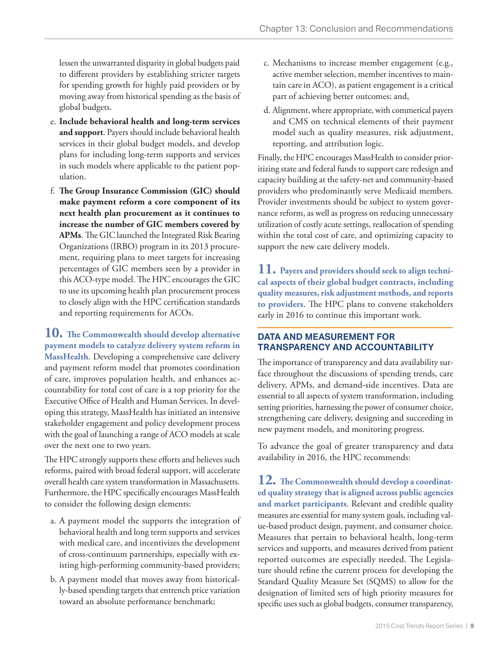lessen the unwarranted disparity in global budgets paid to different providers by establishing stricter targets for spending growth for highly paid providers or by moving away from historical spending as the basis of global budgets.

- e. **Include behavioral health and long-term services and support**. Payers should include behavioral health services in their global budget models, and develop plans for including long-term supports and services in such models where applicable to the patient population.
- f. **The Group Insurance Commission (GIC) should make payment reform a core component of its next health plan procurement as it continues to increase the number of GIC members covered by APMs**. The GIC launched the Integrated Risk Bearing Organizations (IRBO) program in its 2013 procurement, requiring plans to meet targets for increasing percentages of GIC members seen by a provider in this ACO-type model. The HPC encourages the GIC to use its upcoming health plan procurement process to closely align with the HPC certification standards and reporting requirements for ACOs.

**10. The Commonwealth should develop alternative payment models to catalyze delivery system reform in MassHealth**. Developing a comprehensive care delivery and payment reform model that promotes coordination of care, improves population health, and enhances accountability for total cost of care is a top priority for the Executive Office of Health and Human Services. In developing this strategy, MassHealth has initiated an intensive stakeholder engagement and policy development process with the goal of launching a range of ACO models at scale over the next one to two years.

The HPC strongly supports these efforts and believes such reforms, paired with broad federal support, will accelerate overall health care system transformation in Massachusetts. Furthermore, the HPC specifically encourages MassHealth to consider the following design elements:

- a. A payment model the supports the integration of behavioral health and long term supports and services with medical care, and incentivizes the development of cross-continuum partnerships, especially with existing high-performing community-based providers;
- b. A payment model that moves away from historically-based spending targets that entrench price variation toward an absolute performance benchmark;
- c. Mechanisms to increase member engagement (e.g., active member selection, member incentives to maintain care in ACO), as patient engagement is a critical part of achieving better outcomes; and,
- d. Alignment, where appropriate, with commerical payers and CMS on technical elements of their payment model such as quality measures, risk adjustment, reporting, and attribution logic.

Finally, the HPC encourages MassHealth to consider prioritizing state and federal funds to support care redesign and capacity building at the safety-net and community-based providers who predominantly serve Medicaid members. Provider investments should be subject to system governance reform, as well as progress on reducing unnecessary utilization of costly acute settings, reallocation of spending within the total cost of care, and optimizing capacity to support the new care delivery models.

**11. Payers and providers should seek to align technical aspects of their global budget contracts, including quality measures, risk adjustment methods, and reports to providers**. The HPC plans to convene stakeholders early in 2016 to continue this important work.

#### **DATA AND MEASUREMENT FOR TRANSPARENCY AND ACCOUNTABILITY**

The importance of transparency and data availability surface throughout the discussions of spending trends, care delivery, APMs, and demand-side incentives. Data are essential to all aspects of system transformation, including setting priorities, harnessing the power of consumer choice, strengthening care delivery, designing and succeeding in new payment models, and monitoring progress.

To advance the goal of greater transparency and data availability in 2016, the HPC recommends:

**12. The Commonwealth should develop a coordinated quality strategy that is aligned across public agencies and market participants**. Relevant and credible quality measures are essential for many system goals, including value-based product design, payment, and consumer choice. Measures that pertain to behavioral health, long-term services and supports, and measures derived from patient reported outcomes are especially needed. The Legislature should refine the current process for developing the Standard Quality Measure Set (SQMS) to allow for the designation of limited sets of high priority measures for specific uses such as global budgets, consumer transparency,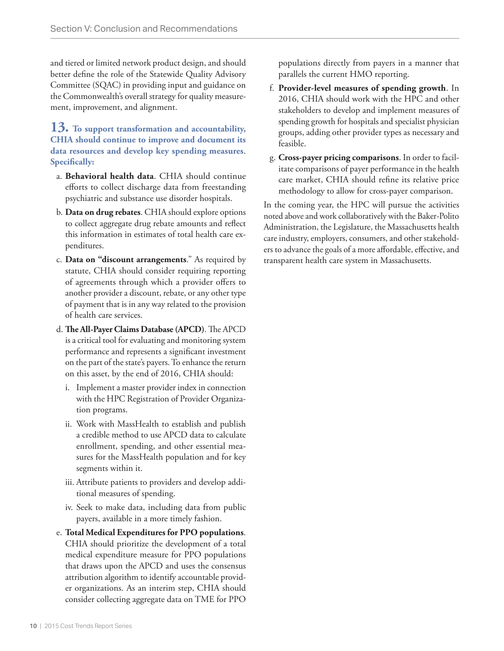and tiered or limited network product design, and should better define the role of the Statewide Quality Advisory Committee (SQAC) in providing input and guidance on the Commonwealth's overall strategy for quality measurement, improvement, and alignment.

#### **13. To support transformation and accountability, CHIA should continue to improve and document its data resources and develop key spending measures**. **Specifically:**

- a. **Behavioral health data**. CHIA should continue efforts to collect discharge data from freestanding psychiatric and substance use disorder hospitals.
- b. **Data on drug rebates**. CHIA should explore options to collect aggregate drug rebate amounts and reflect this information in estimates of total health care expenditures.
- c. **Data on "discount arrangements**." As required by statute, CHIA should consider requiring reporting of agreements through which a provider offers to another provider a discount, rebate, or any other type of payment that is in any way related to the provision of health care services.
- d. **The All-Payer Claims Database (APCD)**. The APCD is a critical tool for evaluating and monitoring system performance and represents a significant investment on the part of the state's payers. To enhance the return on this asset, by the end of 2016, CHIA should:
	- i. Implement a master provider index in connection with the HPC Registration of Provider Organization programs.
	- ii. Work with MassHealth to establish and publish a credible method to use APCD data to calculate enrollment, spending, and other essential measures for the MassHealth population and for key segments within it.
	- iii. Attribute patients to providers and develop additional measures of spending.
	- iv. Seek to make data, including data from public payers, available in a more timely fashion.
- e. **Total Medical Expenditures for PPO populations**. CHIA should prioritize the development of a total medical expenditure measure for PPO populations that draws upon the APCD and uses the consensus attribution algorithm to identify accountable provider organizations. As an interim step, CHIA should consider collecting aggregate data on TME for PPO

populations directly from payers in a manner that parallels the current HMO reporting.

- f. **Provider-level measures of spending growth**. In 2016, CHIA should work with the HPC and other stakeholders to develop and implement measures of spending growth for hospitals and specialist physician groups, adding other provider types as necessary and feasible.
- g. **Cross-payer pricing comparisons**. In order to facilitate comparisons of payer performance in the health care market, CHIA should refine its relative price methodology to allow for cross-payer comparison.

In the coming year, the HPC will pursue the activities noted above and work collaboratively with the Baker-Polito Administration, the Legislature, the Massachusetts health care industry, employers, consumers, and other stakeholders to advance the goals of a more affordable, effective, and transparent health care system in Massachusetts.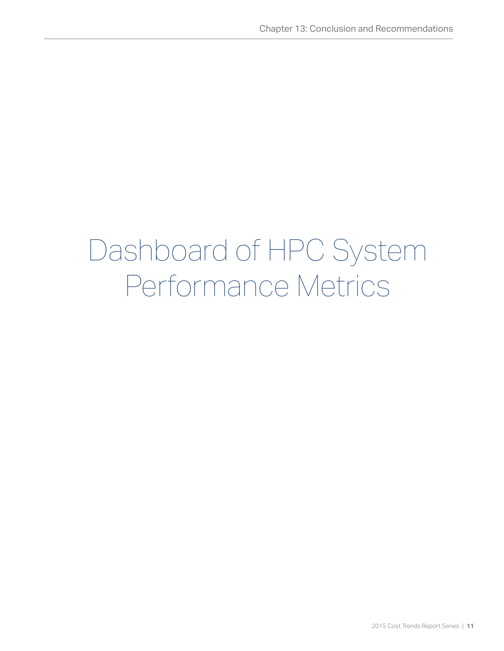## Dashboard of HPC System Performance Metrics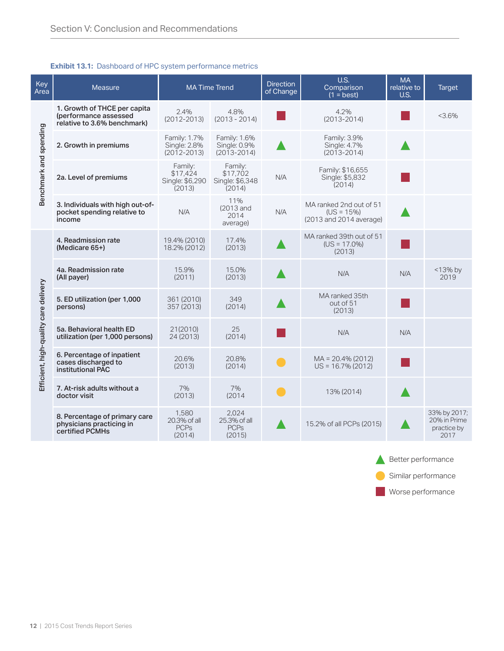#### **Exhibit 13.1:** Dashboard of HPC system performance metrics

| <b>Key</b><br>Area                    | Measure                                                                              | <b>MA Time Trend</b>                             |                                                  | <b>Direction</b><br>of Change | U.S.<br>Comparison<br>$(1 = best)$                                 | <b>MA</b><br>relative to<br>U.S. | <b>Target</b>                                       |
|---------------------------------------|--------------------------------------------------------------------------------------|--------------------------------------------------|--------------------------------------------------|-------------------------------|--------------------------------------------------------------------|----------------------------------|-----------------------------------------------------|
| Benchmark and spending                | 1. Growth of THCE per capita<br>(performance assessed<br>relative to 3.6% benchmark) | 2.4%<br>$(2012 - 2013)$                          | 4.8%<br>$(2013 - 2014)$                          |                               | 4.2%<br>$(2013 - 2014)$                                            |                                  | $< 3.6\%$                                           |
|                                       | 2. Growth in premiums                                                                | Family: 1.7%<br>Single: 2.8%<br>$(2012 - 2013)$  | Family: 1.6%<br>Single: 0.9%<br>$(2013 - 2014)$  |                               | Family: 3.9%<br>Single: 4.7%<br>$(2013 - 2014)$                    |                                  |                                                     |
|                                       | 2a. Level of premiums                                                                | Family:<br>\$17,424<br>Single: \$6,290<br>(2013) | Family:<br>\$17,702<br>Single: \$6,348<br>(2014) | N/A                           | Family: \$16,655<br>Single: \$5,832<br>(2014)                      |                                  |                                                     |
|                                       | 3. Individuals with high out-of-<br>pocket spending relative to<br>income            | N/A                                              | 11%<br>(2013 and<br>2014<br>average)             | N/A                           | MA ranked 2nd out of 51<br>$(US = 15%)$<br>(2013 and 2014 average) |                                  |                                                     |
| Efficient, high-quality care delivery | 4. Readmission rate<br>(Medicare 65+)                                                | 19.4% (2010)<br>18.2% (2012)                     | 17.4%<br>(2013)                                  |                               | MA ranked 39th out of 51<br>$(US = 17.0\%)$<br>(2013)              |                                  |                                                     |
|                                       | 4a. Readmission rate<br>(All payer)                                                  | 15.9%<br>(2011)                                  | 15.0%<br>(2013)                                  |                               | N/A                                                                | N/A                              | $<$ 13% by<br>2019                                  |
|                                       | 5. ED utilization (per 1,000<br>persons)                                             | 361 (2010)<br>357 (2013)                         | 349<br>(2014)                                    |                               | MA ranked 35th<br>out of 51<br>(2013)                              |                                  |                                                     |
|                                       | 5a. Behavioral health ED<br>utilization (per 1,000 persons)                          | 21(2010)<br>24 (2013)                            | 25<br>(2014)                                     |                               | N/A                                                                | N/A                              |                                                     |
|                                       | 6. Percentage of inpatient<br>cases discharged to<br>institutional PAC               | 20.6%<br>(2013)                                  | 20.8%<br>(2014)                                  |                               | $MA = 20.4\% (2012)$<br>$US = 16.7\% (2012)$                       |                                  |                                                     |
|                                       | 7. At-risk adults without a<br>doctor visit                                          | 7%<br>(2013)                                     | 7%<br>(2014)                                     |                               | 13% (2014)                                                         |                                  |                                                     |
|                                       | 8. Percentage of primary care<br>physicians practicing in<br>certified PCMHs         | 1,580<br>20.3% of all<br><b>PCPs</b><br>(2014)   | 2,024<br>25.3% of all<br><b>PCPs</b><br>(2015)   |                               | 15.2% of all PCPs (2015)                                           |                                  | 33% by 2017;<br>20% in Prime<br>practice by<br>2017 |

Better performance **Similar performance** 

**Worse performance**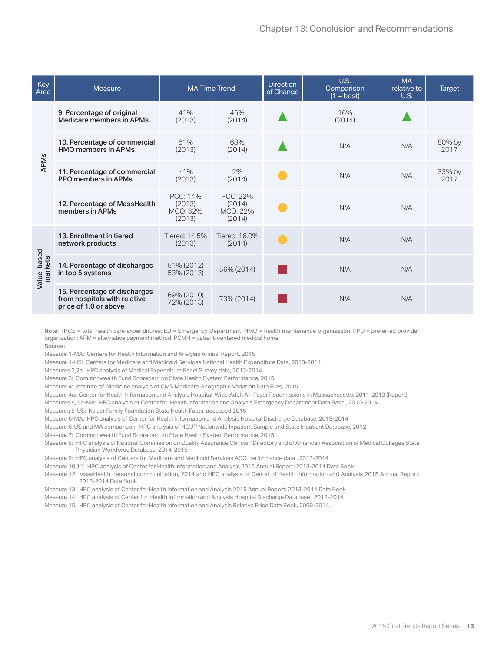| Key<br>Area            | Measure                                                                               | <b>MA Time Trend</b>                     |                                          | <b>Direction</b><br>of Change | U.S.<br>Comparison<br>$(1 = best)$ | <b>MA</b><br>relative to<br><b>U.S.</b> | <b>Target</b>  |
|------------------------|---------------------------------------------------------------------------------------|------------------------------------------|------------------------------------------|-------------------------------|------------------------------------|-----------------------------------------|----------------|
| <b>APMs</b>            | 9. Percentage of original<br>Medicare members in APMs                                 | 41%<br>(2013)                            | 46%<br>(2014)                            |                               | 16%<br>(2014)                      |                                         |                |
|                        | 10. Percentage of commercial<br><b>HMO</b> members in APMs                            | 61%<br>(2013)                            | 68%<br>(2014)                            |                               | N/A                                | N/A                                     | 80% by<br>2017 |
|                        | 11. Percentage of commercial<br><b>PPO</b> members in APMs                            | $~1\%$<br>(2013)                         | 2%<br>(2014)                             |                               | N/A                                | N/A                                     | 33% by<br>2017 |
|                        | 12. Percentage of MassHealth<br>members in APMs                                       | PCC: 14%<br>(2013)<br>MCO: 32%<br>(2013) | PCC: 22%<br>(2014)<br>MCO: 22%<br>(2014) |                               | N/A                                | N/A                                     |                |
| Value-based<br>markets | 13. Enrollment in tiered<br>network products                                          | Tiered: 14.5%<br>(2013)                  | Tiered: 16.0%<br>(2014)                  |                               | N/A                                | N/A                                     |                |
|                        | 14. Percentage of discharges<br>in top 5 systems                                      | 51% (2012)<br>53% (2013)                 | 56% (2014)                               |                               | N/A                                | N/A                                     |                |
|                        | 15. Percentage of discharges<br>from hospitals with relative<br>price of 1.0 or above | 69% (2010)<br>72% (2013)                 | 73% (2014)                               |                               | N/A                                | N/A                                     |                |

Note: THCE = total health care expenditures; ED = Emergency Department; HMO = health maintenance organization; PPO = preferred provider organization; APM = alternative payment method; PCMH = patient-centered medical home.

Source:

Measure 1-MA: Centers for Health Information and Analysis Annual Report, 2015

Measure 1-US: Centers for Medicare and Medicaid Services National Health Expenditure Data, 2013-2014

Measures 2,2a: HPC analysis of Medical Expenditure Panel Survey data, 2012-2014

Measure 3: Commonwealth Fund Scorecard on State Health System Performance, 2015

Measure 4: Institute of Medicine analysis of CMS Medicare Geographic Variation Data Files, 2015

Measure 4a: Center for Health Information and Analysis Hospital-Wide Adult All-Payer Readmissions in Massachusetts: 2011-2013 (Report)

Measures 5, 5a-MA: HPC analysis of Center for Health Information and Analysis Emergency Department Data Base , 2010-2014

Measures 5-US: Kaiser Family Foundation State Health Facts, accessed 2015

Measure 6-MA: HPC analysis of Center for Health Information and Analysis Hospital Discharge Database, 2013-2014

Measure 6-US and MA comparison: HPC analysis of HCUP Nationwide Inpatient Sample and State Inpatient Database, 2012

Measure 7: Commonwealth Fund Scorecard on State Health System Performance, 2015

Measure 8: HPC analysis of National Commission on Quality Assurance Clinician Directory and of American Association of Medical Colleges State Physician Workforce Database, 2014-2015

Measure 9: HPC analysis of Centers for Medicare and Medicaid Services ACO performance data , 2013-2014

Measure 10,11: HPC analysis of Center for Health Information and Analysis 2015 Annual Report: 2013-2014 Data Book

Measure 12: MassHealth personal communication, 2014 and HPC analysis of Center of Health Information and Analysis 2015 Annual Report: 2013-2014 Data Book

- Measure 13: HPC analysis of Center for Health Information and Analysis 2015 Annual Report: 2013-2014 Data Book
- Measure 14: HPC analysis of Center for Health Information and Analysis Hospital Discharge Database , 2012-2014

Measure 15: HPC analysis of Center for Health Information and Analysis Relative Price Data Book, 2009-2014.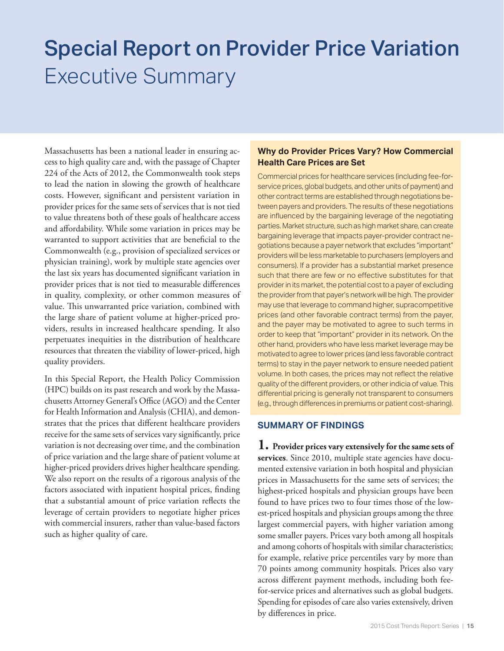### Executive Summary Special Report on Provider Price Variation

Massachusetts has been a national leader in ensuring access to high quality care and, with the passage of Chapter 224 of the Acts of 2012, the Commonwealth took steps to lead the nation in slowing the growth of healthcare costs. However, significant and persistent variation in provider prices for the same sets of services that is not tied to value threatens both of these goals of healthcare access and affordability. While some variation in prices may be warranted to support activities that are beneficial to the Commonwealth (e.g., provision of specialized services or physician training), work by multiple state agencies over the last six years has documented significant variation in provider prices that is not tied to measurable differences in quality, complexity, or other common measures of value. This unwarranted price variation, combined with the large share of patient volume at higher-priced providers, results in increased healthcare spending. It also perpetuates inequities in the distribution of healthcare resources that threaten the viability of lower-priced, high quality providers.

In this Special Report, the Health Policy Commission (HPC) builds on its past research and work by the Massachusetts Attorney General's Office (AGO) and the Center for Health Information and Analysis (CHIA), and demonstrates that the prices that different healthcare providers receive for the same sets of services vary significantly, price variation is not decreasing over time, and the combination of price variation and the large share of patient volume at higher-priced providers drives higher healthcare spending. We also report on the results of a rigorous analysis of the factors associated with inpatient hospital prices, finding that a substantial amount of price variation reflects the leverage of certain providers to negotiate higher prices with commercial insurers, rather than value-based factors such as higher quality of care.

#### **Why do Provider Prices Vary? How Commercial Health Care Prices are Set**

Commercial prices for healthcare services (including fee-forservice prices, global budgets, and other units of payment) and other contract terms are established through negotiations between payers and providers. The results of these negotiations are influenced by the bargaining leverage of the negotiating parties. Market structure, such as high market share, can create bargaining leverage that impacts payer-provider contract negotiations because a payer network that excludes "important" providers will be less marketable to purchasers (employers and consumers). If a provider has a substantial market presence such that there are few or no effective substitutes for that provider in its market, the potential cost to a payer of excluding the provider from that payer's network will be high. The provider may use that leverage to command higher, supracompetitive prices (and other favorable contract terms) from the payer, and the payer may be motivated to agree to such terms in order to keep that "important" provider in its network. On the other hand, providers who have less market leverage may be motivated to agree to lower prices (and less favorable contract terms) to stay in the payer network to ensure needed patient volume. In both cases, the prices may not reflect the relative quality of the different providers, or other indicia of value. This differential pricing is generally not transparent to consumers (e.g., through differences in premiums or patient cost-sharing).

#### **SUMMARY OF FINDINGS**

**1. Provider prices vary extensively for the same sets of**  services. Since 2010, multiple state agencies have documented extensive variation in both hospital and physician prices in Massachusetts for the same sets of services; the highest-priced hospitals and physician groups have been found to have prices two to four times those of the lowest-priced hospitals and physician groups among the three largest commercial payers, with higher variation among some smaller payers. Prices vary both among all hospitals and among cohorts of hospitals with similar characteristics; for example, relative price percentiles vary by more than 70 points among community hospitals. Prices also vary across different payment methods, including both feefor-service prices and alternatives such as global budgets. Spending for episodes of care also varies extensively, driven by differences in price.